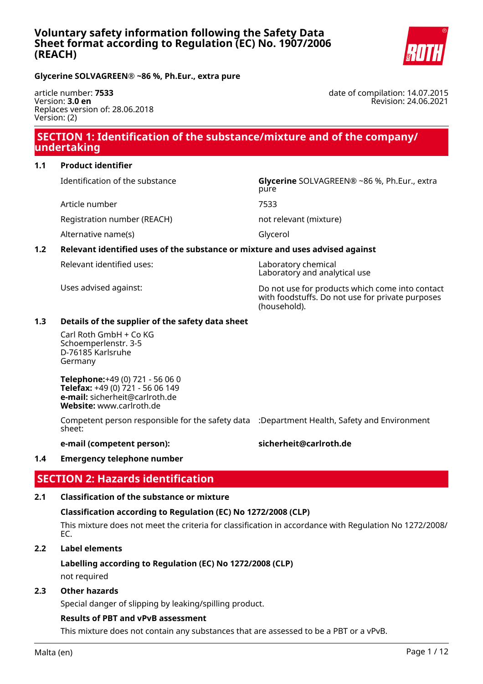

date of compilation: 14.07.2015

Revision: 24.06.2021

**Glycerine SOLVAGREEN® ~86 %, Ph.Eur., extra pure**

article number: **7533** Version: **3.0 en** Replaces version of: 28.06.2018 Version: (2)

# **SECTION 1: Identification of the substance/mixture and of the company/ undertaking**

pure

## **1.1 Product identifier**

Identification of the substance **Glycerine** SOLVAGREEN® ~86 %, Ph.Eur., extra

Article number 7533

Registration number (REACH) not relevant (mixture)

Alternative name(s) Glycerol

# **1.2 Relevant identified uses of the substance or mixture and uses advised against**

Relevant identified uses: Laboratory chemical

Laboratory and analytical use

Uses advised against: Do not use for products which come into contact with foodstuffs. Do not use for private purposes (household).

## **1.3 Details of the supplier of the safety data sheet**

Carl Roth GmbH + Co KG Schoemperlenstr. 3-5 D-76185 Karlsruhe Germany

**Telephone:**+49 (0) 721 - 56 06 0 **Telefax:** +49 (0) 721 - 56 06 149 **e-mail:** sicherheit@carlroth.de **Website:** www.carlroth.de

Competent person responsible for the safety data :Department Health, Safety and Environment sheet:

## **e-mail (competent person): sicherheit@carlroth.de**

# **1.4 Emergency telephone number**

# **SECTION 2: Hazards identification**

# **2.1 Classification of the substance or mixture**

# **Classification according to Regulation (EC) No 1272/2008 (CLP)**

This mixture does not meet the criteria for classification in accordance with Regulation No 1272/2008/ EC.

# **2.2 Label elements**

# **Labelling according to Regulation (EC) No 1272/2008 (CLP)**

not required

### **2.3 Other hazards**

Special danger of slipping by leaking/spilling product.

#### **Results of PBT and vPvB assessment**

This mixture does not contain any substances that are assessed to be a PBT or a vPvB.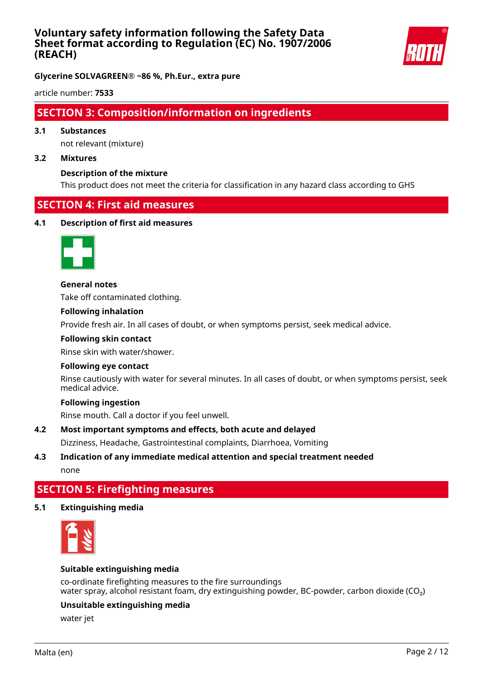

**Glycerine SOLVAGREEN® ~86 %, Ph.Eur., extra pure**

article number: **7533**

# **SECTION 3: Composition/information on ingredients**

## **3.1 Substances**

not relevant (mixture)

#### **3.2 Mixtures**

#### **Description of the mixture**

This product does not meet the criteria for classification in any hazard class according to GHS

# **SECTION 4: First aid measures**

#### **4.1 Description of first aid measures**



**General notes**

Take off contaminated clothing.

# **Following inhalation**

Provide fresh air. In all cases of doubt, or when symptoms persist, seek medical advice.

#### **Following skin contact**

Rinse skin with water/shower.

#### **Following eye contact**

Rinse cautiously with water for several minutes. In all cases of doubt, or when symptoms persist, seek medical advice.

## **Following ingestion**

Rinse mouth. Call a doctor if you feel unwell.

#### **4.2 Most important symptoms and effects, both acute and delayed**

Dizziness, Headache, Gastrointestinal complaints, Diarrhoea, Vomiting

## **4.3 Indication of any immediate medical attention and special treatment needed** none

# **SECTION 5: Firefighting measures**

#### **5.1 Extinguishing media**



#### **Suitable extinguishing media**

co-ordinate firefighting measures to the fire surroundings water spray, alcohol resistant foam, dry extinguishing powder, BC-powder, carbon dioxide (CO<sub>2</sub>)

#### **Unsuitable extinguishing media**

water jet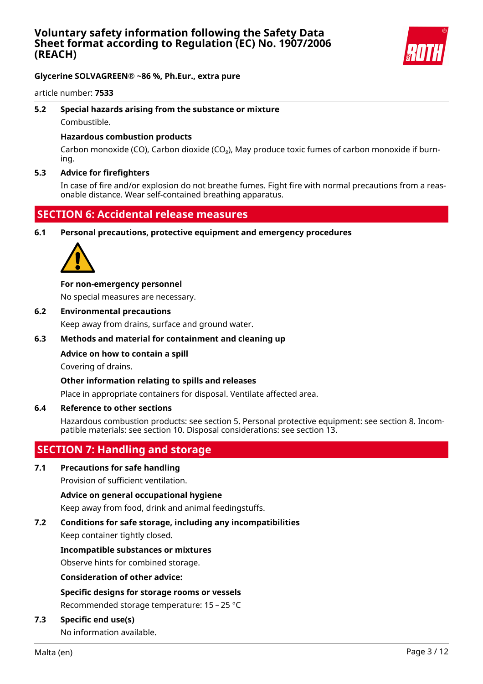

# **Glycerine SOLVAGREEN® ~86 %, Ph.Eur., extra pure**

article number: **7533**

# **5.2 Special hazards arising from the substance or mixture**

Combustible.

## **Hazardous combustion products**

Carbon monoxide (CO), Carbon dioxide (CO₂), May produce toxic fumes of carbon monoxide if burning.

## **5.3 Advice for firefighters**

In case of fire and/or explosion do not breathe fumes. Fight fire with normal precautions from a reasonable distance. Wear self-contained breathing apparatus.

# **SECTION 6: Accidental release measures**

**6.1 Personal precautions, protective equipment and emergency procedures**



# **For non-emergency personnel**

No special measures are necessary.

## **6.2 Environmental precautions**

Keep away from drains, surface and ground water.

## **6.3 Methods and material for containment and cleaning up**

# **Advice on how to contain a spill**

Covering of drains.

# **Other information relating to spills and releases**

Place in appropriate containers for disposal. Ventilate affected area.

#### **6.4 Reference to other sections**

Hazardous combustion products: see section 5. Personal protective equipment: see section 8. Incompatible materials: see section 10. Disposal considerations: see section 13.

# **SECTION 7: Handling and storage**

# **7.1 Precautions for safe handling**

Provision of sufficient ventilation.

#### **Advice on general occupational hygiene**

Keep away from food, drink and animal feedingstuffs.

# **7.2 Conditions for safe storage, including any incompatibilities**

Keep container tightly closed.

#### **Incompatible substances or mixtures**

Observe hints for combined storage.

#### **Consideration of other advice:**

# **Specific designs for storage rooms or vessels**

Recommended storage temperature: 15 – 25 °C

#### **7.3 Specific end use(s)**

No information available.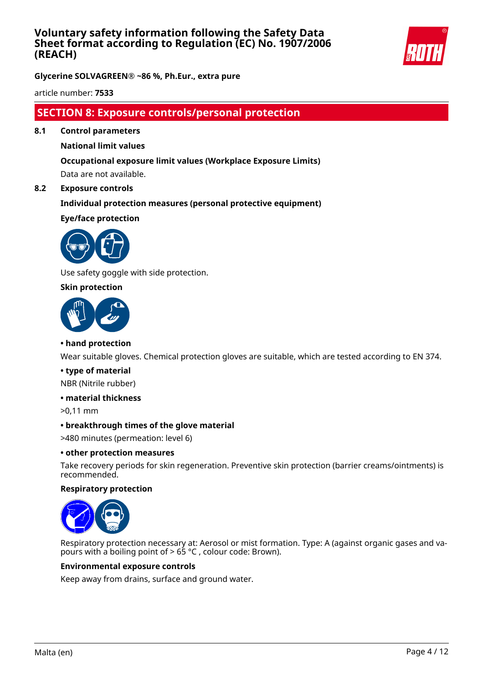

**Glycerine SOLVAGREEN® ~86 %, Ph.Eur., extra pure**

article number: **7533**

# **SECTION 8: Exposure controls/personal protection**

**8.1 Control parameters**

# **National limit values**

# **Occupational exposure limit values (Workplace Exposure Limits)** Data are not available.

#### **8.2 Exposure controls**

# **Individual protection measures (personal protective equipment)**

**Eye/face protection**



Use safety goggle with side protection.

## **Skin protection**



### **• hand protection**

Wear suitable gloves. Chemical protection gloves are suitable, which are tested according to EN 374.

#### **• type of material**

NBR (Nitrile rubber)

## **• material thickness**

>0,11 mm

#### **• breakthrough times of the glove material**

>480 minutes (permeation: level 6)

#### **• other protection measures**

Take recovery periods for skin regeneration. Preventive skin protection (barrier creams/ointments) is recommended.

#### **Respiratory protection**



Respiratory protection necessary at: Aerosol or mist formation. Type: A (against organic gases and vapours with a boiling point of > 65 °C , colour code: Brown).

#### **Environmental exposure controls**

Keep away from drains, surface and ground water.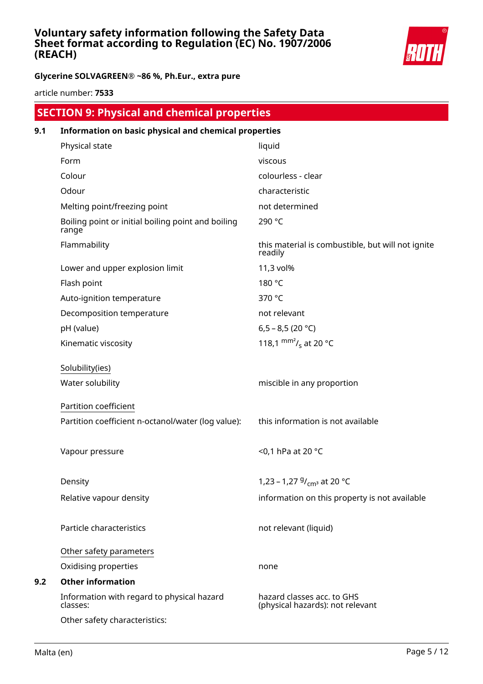

# **Glycerine SOLVAGREEN® ~86 %, Ph.Eur., extra pure**

article number: **7533**

|     | <b>SECTION 9: Physical and chemical properties</b>          |                                                                |
|-----|-------------------------------------------------------------|----------------------------------------------------------------|
| 9.1 | Information on basic physical and chemical properties       |                                                                |
|     | Physical state                                              | liquid                                                         |
|     | Form                                                        | viscous                                                        |
|     | Colour                                                      | colourless - clear                                             |
|     | Odour                                                       | characteristic                                                 |
|     | Melting point/freezing point                                | not determined                                                 |
|     | Boiling point or initial boiling point and boiling<br>range | 290 °C                                                         |
|     | Flammability                                                | this material is combustible, but will not ignite<br>readily   |
|     | Lower and upper explosion limit                             | 11,3 vol%                                                      |
|     | Flash point                                                 | 180 °C                                                         |
|     | Auto-ignition temperature                                   | 370 °C                                                         |
|     | Decomposition temperature                                   | not relevant                                                   |
|     | pH (value)                                                  | 6,5 - 8,5 (20 °C)                                              |
|     | Kinematic viscosity                                         | 118,1 $\text{mm}^2$ / <sub>s</sub> at 20 °C                    |
|     | Solubility(ies)                                             |                                                                |
|     | Water solubility                                            | miscible in any proportion                                     |
|     | Partition coefficient                                       |                                                                |
|     | Partition coefficient n-octanol/water (log value):          | this information is not available                              |
|     | Vapour pressure                                             | <0,1 hPa at 20 °C                                              |
|     | Density                                                     | 1,23 – 1,27 $9/_{cm^3}$ at 20 °C                               |
|     | Relative vapour density                                     | information on this property is not available                  |
|     | Particle characteristics                                    | not relevant (liquid)                                          |
|     | Other safety parameters                                     |                                                                |
|     | Oxidising properties                                        | none                                                           |
| 9.2 | <b>Other information</b>                                    |                                                                |
|     | Information with regard to physical hazard<br>classes:      | hazard classes acc. to GHS<br>(physical hazards): not relevant |
|     | Other safety characteristics:                               |                                                                |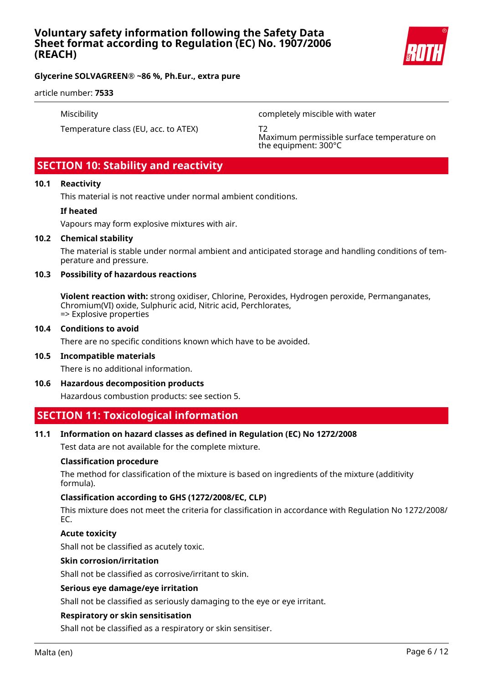

# **Glycerine SOLVAGREEN® ~86 %, Ph.Eur., extra pure**

#### article number: **7533**

Miscibility completely miscible with water

Temperature class (EU, acc. to ATEX) T2

Maximum permissible surface temperature on the equipment: 300°C

# **SECTION 10: Stability and reactivity**

#### **10.1 Reactivity**

This material is not reactive under normal ambient conditions.

#### **If heated**

Vapours may form explosive mixtures with air.

#### **10.2 Chemical stability**

The material is stable under normal ambient and anticipated storage and handling conditions of temperature and pressure.

#### **10.3 Possibility of hazardous reactions**

**Violent reaction with:** strong oxidiser, Chlorine, Peroxides, Hydrogen peroxide, Permanganates, Chromium(VI) oxide, Sulphuric acid, Nitric acid, Perchlorates, => Explosive properties

#### **10.4 Conditions to avoid**

There are no specific conditions known which have to be avoided.

#### **10.5 Incompatible materials**

There is no additional information.

#### **10.6 Hazardous decomposition products**

Hazardous combustion products: see section 5.

# **SECTION 11: Toxicological information**

#### **11.1 Information on hazard classes as defined in Regulation (EC) No 1272/2008**

Test data are not available for the complete mixture.

#### **Classification procedure**

The method for classification of the mixture is based on ingredients of the mixture (additivity formula).

#### **Classification according to GHS (1272/2008/EC, CLP)**

This mixture does not meet the criteria for classification in accordance with Regulation No 1272/2008/ EC.

#### **Acute toxicity**

Shall not be classified as acutely toxic.

#### **Skin corrosion/irritation**

Shall not be classified as corrosive/irritant to skin.

#### **Serious eye damage/eye irritation**

Shall not be classified as seriously damaging to the eye or eye irritant.

#### **Respiratory or skin sensitisation**

Shall not be classified as a respiratory or skin sensitiser.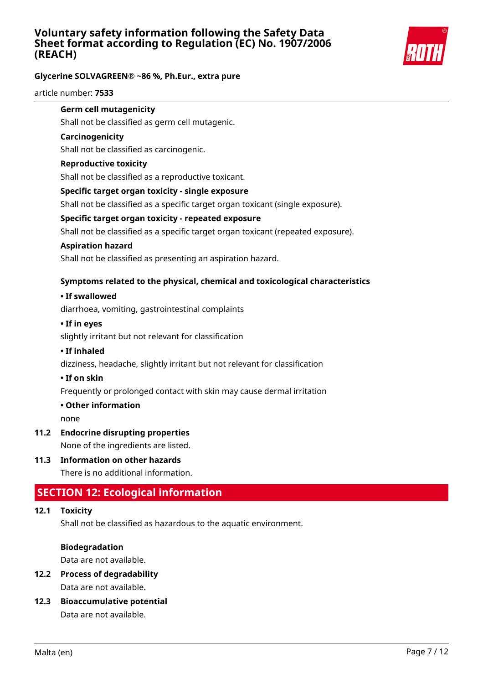

# **Glycerine SOLVAGREEN® ~86 %, Ph.Eur., extra pure**

article number: **7533**

### **Germ cell mutagenicity**

Shall not be classified as germ cell mutagenic.

### **Carcinogenicity**

Shall not be classified as carcinogenic.

### **Reproductive toxicity**

Shall not be classified as a reproductive toxicant.

## **Specific target organ toxicity - single exposure**

Shall not be classified as a specific target organ toxicant (single exposure).

## **Specific target organ toxicity - repeated exposure**

Shall not be classified as a specific target organ toxicant (repeated exposure).

## **Aspiration hazard**

Shall not be classified as presenting an aspiration hazard.

## **Symptoms related to the physical, chemical and toxicological characteristics**

## **• If swallowed**

diarrhoea, vomiting, gastrointestinal complaints

## **• If in eyes**

slightly irritant but not relevant for classification

#### **• If inhaled**

dizziness, headache, slightly irritant but not relevant for classification

#### **• If on skin**

Frequently or prolonged contact with skin may cause dermal irritation

#### **• Other information**

none

# **11.2 Endocrine disrupting properties**

None of the ingredients are listed.

# **11.3 Information on other hazards**

There is no additional information.

# **SECTION 12: Ecological information**

# **12.1 Toxicity**

Shall not be classified as hazardous to the aquatic environment.

#### **Biodegradation**

Data are not available.

# **12.2 Process of degradability**

Data are not available.

**12.3 Bioaccumulative potential**

Data are not available.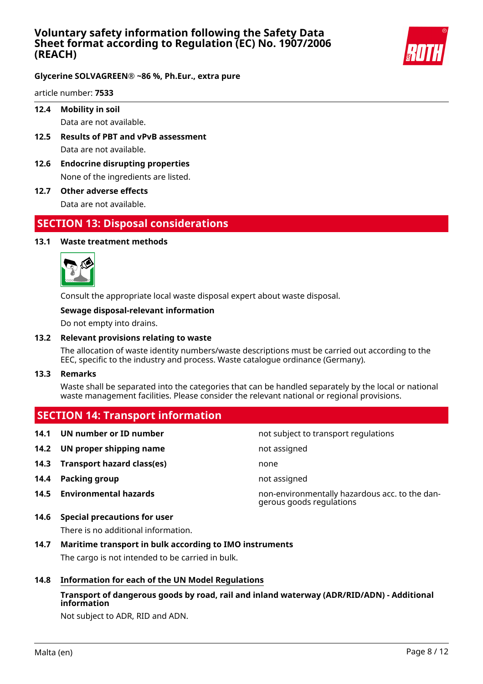

## **Glycerine SOLVAGREEN® ~86 %, Ph.Eur., extra pure**

article number: **7533**

**12.4 Mobility in soil**

Data are not available.

- **12.5 Results of PBT and vPvB assessment** Data are not available.
- **12.6 Endocrine disrupting properties** None of the ingredients are listed.
- **12.7 Other adverse effects**

Data are not available.

# **SECTION 13: Disposal considerations**

## **13.1 Waste treatment methods**



Consult the appropriate local waste disposal expert about waste disposal.

#### **Sewage disposal-relevant information**

Do not empty into drains.

#### **13.2 Relevant provisions relating to waste**

The allocation of waste identity numbers/waste descriptions must be carried out according to the EEC, specific to the industry and process. Waste catalogue ordinance (Germany).

**13.3 Remarks**

Waste shall be separated into the categories that can be handled separately by the local or national waste management facilities. Please consider the relevant national or regional provisions.

# **SECTION 14: Transport information**

- 
- **14.2 UN proper shipping name not assigned not** assigned
- **14.3 Transport hazard class(es)** none
- **14.4 Packing group not assigned**
- 
- **14.6 Special precautions for user**

There is no additional information.

- **14.7 Maritime transport in bulk according to IMO instruments** The cargo is not intended to be carried in bulk.
- **14.8 Information for each of the UN Model Regulations**

# **Transport of dangerous goods by road, rail and inland waterway (ADR/RID/ADN) - Additional information**

Not subject to ADR, RID and ADN.

**14.1 UN number or ID number not subject to transport regulations** 

**14.5 Environmental hazards** non-environmentally hazardous acc. to the dangerous goods regulations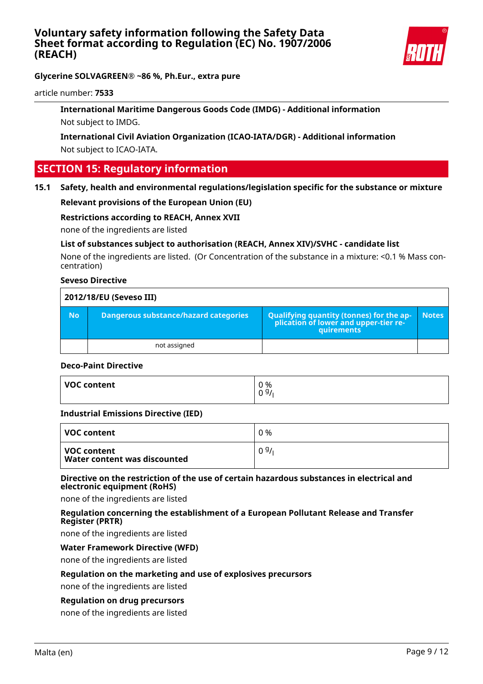

# **Glycerine SOLVAGREEN® ~86 %, Ph.Eur., extra pure**

article number: **7533**

# **International Maritime Dangerous Goods Code (IMDG) - Additional information** Not subject to IMDG.

# **International Civil Aviation Organization (ICAO-IATA/DGR) - Additional information** Not subject to ICAO-IATA.

# **SECTION 15: Regulatory information**

## **15.1 Safety, health and environmental regulations/legislation specific for the substance or mixture**

#### **Relevant provisions of the European Union (EU)**

#### **Restrictions according to REACH, Annex XVII**

none of the ingredients are listed

## **List of substances subject to authorisation (REACH, Annex XIV)/SVHC - candidate list**

None of the ingredients are listed. (Or Concentration of the substance in a mixture: <0.1 % Mass concentration)

## **Seveso Directive**

| 2012/18/EU (Seveso III) |                                       |                                                                                            |              |
|-------------------------|---------------------------------------|--------------------------------------------------------------------------------------------|--------------|
| <b>No</b>               | Dangerous substance/hazard categories | Qualifying quantity (tonnes) for the application of lower and upper-tier re-<br>quirements | <b>Notes</b> |
|                         | not assigned                          |                                                                                            |              |

#### **Deco-Paint Directive**

| VOC content | 0 %<br>09/<br>v |
|-------------|-----------------|
|             |                 |

#### **Industrial Emissions Directive (IED)**

| ∣ VOC content                                 | 0 % |
|-----------------------------------------------|-----|
| l VOC content<br>Water content was discounted | 09/ |

#### **Directive on the restriction of the use of certain hazardous substances in electrical and electronic equipment (RoHS)**

none of the ingredients are listed

#### **Regulation concerning the establishment of a European Pollutant Release and Transfer Register (PRTR)**

none of the ingredients are listed

#### **Water Framework Directive (WFD)**

none of the ingredients are listed

#### **Regulation on the marketing and use of explosives precursors**

none of the ingredients are listed

## **Regulation on drug precursors**

none of the ingredients are listed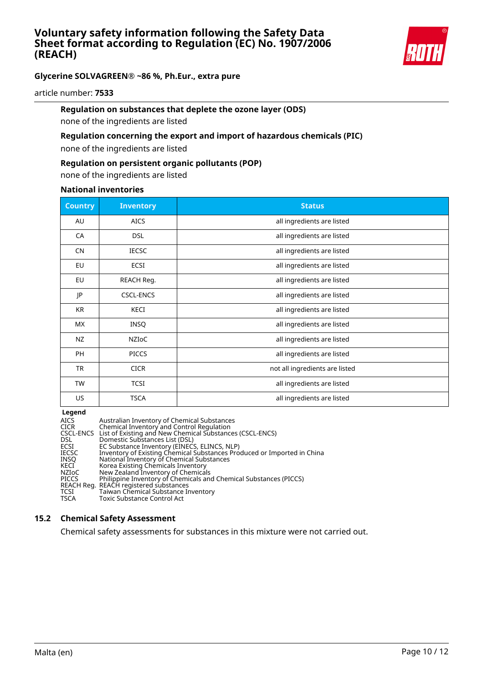

# **Glycerine SOLVAGREEN® ~86 %, Ph.Eur., extra pure**

article number: **7533**

# **Regulation on substances that deplete the ozone layer (ODS)**

none of the ingredients are listed

# **Regulation concerning the export and import of hazardous chemicals (PIC)**

none of the ingredients are listed

### **Regulation on persistent organic pollutants (POP)**

none of the ingredients are listed

#### **National inventories**

| <b>Country</b> | <b>Inventory</b> | <b>Status</b>                  |
|----------------|------------------|--------------------------------|
| AU             | <b>AICS</b>      | all ingredients are listed     |
| CA             | <b>DSL</b>       | all ingredients are listed     |
| <b>CN</b>      | <b>IECSC</b>     | all ingredients are listed     |
| EU             | ECSI             | all ingredients are listed     |
| EU             | REACH Reg.       | all ingredients are listed     |
| JP             | <b>CSCL-ENCS</b> | all ingredients are listed     |
| KR             | KECI             | all ingredients are listed     |
| <b>MX</b>      | <b>INSQ</b>      | all ingredients are listed     |
| NZ             | <b>NZIOC</b>     | all ingredients are listed     |
| PH             | <b>PICCS</b>     | all ingredients are listed     |
| TR             | <b>CICR</b>      | not all ingredients are listed |
| <b>TW</b>      | <b>TCSI</b>      | all ingredients are listed     |
| US             | <b>TSCA</b>      | all ingredients are listed     |

**Legend**

| AICS         | Australian Inventory of Chemical Substances                             |
|--------------|-------------------------------------------------------------------------|
| <b>CICR</b>  | Chemical Inventory and Control Regulation                               |
|              | CSCL-ENCS List of Existing and New Chemical Substances (CSCL-ENCS)      |
| DSL.         | Domestic Substances List (DSL)                                          |
| ECSI         | EC Substance Inventory (EINECS, ELINCS, NLP)                            |
| IECSC        | Inventory of Existing Chemical Substances Produced or Imported in China |
| INSO         | National Inventory of Chemical Substances                               |
| KECI         | Korea Existing Chemicals Inventory                                      |
| NZIoC        | New Zealand Inventory of Chemicals                                      |
| <b>PICCS</b> | Philippine Inventory of Chemicals and Chemical Substances (PICCS)       |
|              | REACH Reg. REACH registered substances                                  |
| TCSI         | Taiwan Chemical Substance Inventory                                     |
| TSCA         | Toxic Substance Control Act                                             |

### **15.2 Chemical Safety Assessment**

Chemical safety assessments for substances in this mixture were not carried out.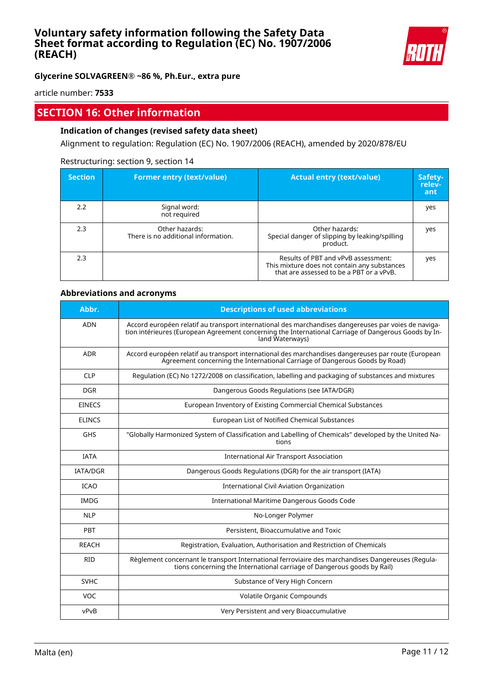

**Glycerine SOLVAGREEN® ~86 %, Ph.Eur., extra pure**

article number: **7533**

# **SECTION 16: Other information**

# **Indication of changes (revised safety data sheet)**

Alignment to regulation: Regulation (EC) No. 1907/2006 (REACH), amended by 2020/878/EU

#### Restructuring: section 9, section 14

| <b>Section</b> | <b>Former entry (text/value)</b>                      | <b>Actual entry (text/value)</b>                                                                                                | Safety-<br>relev-<br>ant |
|----------------|-------------------------------------------------------|---------------------------------------------------------------------------------------------------------------------------------|--------------------------|
| 2.2            | Signal word:<br>not required                          |                                                                                                                                 | yes                      |
| 2.3            | Other hazards:<br>There is no additional information. | Other hazards:<br>Special danger of slipping by leaking/spilling<br>product.                                                    | yes                      |
| 2.3            |                                                       | Results of PBT and vPvB assessment:<br>This mixture does not contain any substances<br>that are assessed to be a PBT or a vPvB. | yes                      |

#### **Abbreviations and acronyms**

| Abbr.           | <b>Descriptions of used abbreviations</b>                                                                                                                                                                                       |
|-----------------|---------------------------------------------------------------------------------------------------------------------------------------------------------------------------------------------------------------------------------|
| <b>ADN</b>      | Accord européen relatif au transport international des marchandises dangereuses par voies de naviga-<br>tion intérieures (European Agreement concerning the International Carriage of Dangerous Goods by In-<br>land Waterways) |
| <b>ADR</b>      | Accord européen relatif au transport international des marchandises dangereuses par route (European<br>Agreement concerning the International Carriage of Dangerous Goods by Road)                                              |
| <b>CLP</b>      | Regulation (EC) No 1272/2008 on classification, labelling and packaging of substances and mixtures                                                                                                                              |
| <b>DGR</b>      | Dangerous Goods Regulations (see IATA/DGR)                                                                                                                                                                                      |
| <b>EINECS</b>   | European Inventory of Existing Commercial Chemical Substances                                                                                                                                                                   |
| <b>ELINCS</b>   | European List of Notified Chemical Substances                                                                                                                                                                                   |
| <b>GHS</b>      | "Globally Harmonized System of Classification and Labelling of Chemicals" developed by the United Na-<br>tions                                                                                                                  |
| <b>IATA</b>     | <b>International Air Transport Association</b>                                                                                                                                                                                  |
| <b>IATA/DGR</b> | Dangerous Goods Regulations (DGR) for the air transport (IATA)                                                                                                                                                                  |
| <b>ICAO</b>     | <b>International Civil Aviation Organization</b>                                                                                                                                                                                |
| <b>IMDG</b>     | International Maritime Dangerous Goods Code                                                                                                                                                                                     |
| <b>NLP</b>      | No-Longer Polymer                                                                                                                                                                                                               |
| PBT             | Persistent, Bioaccumulative and Toxic                                                                                                                                                                                           |
| <b>REACH</b>    | Registration, Evaluation, Authorisation and Restriction of Chemicals                                                                                                                                                            |
| <b>RID</b>      | Règlement concernant le transport International ferroviaire des marchandises Dangereuses (Regula-<br>tions concerning the International carriage of Dangerous goods by Rail)                                                    |
| <b>SVHC</b>     | Substance of Very High Concern                                                                                                                                                                                                  |
| <b>VOC</b>      | Volatile Organic Compounds                                                                                                                                                                                                      |
| vPvB            | Very Persistent and very Bioaccumulative                                                                                                                                                                                        |